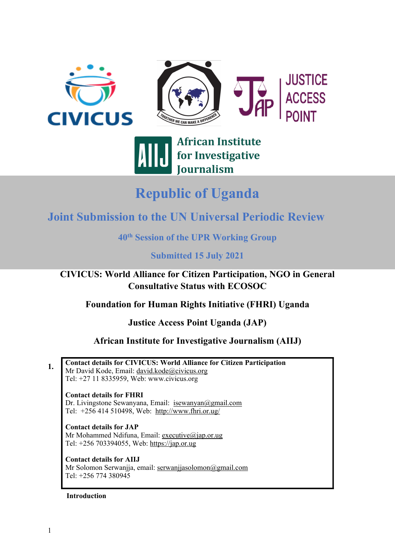



## **African Institute** for Investigative **Journalism**

# **Republic of Uganda**

### **Joint Submission to the UN Universal Periodic Review**

**40th Session of the UPR Working Group**

### **Submitted 15 July 2021**

**CIVICUS: World Alliance for Citizen Participation, NGO in General Consultative Status with ECOSOC**

**Foundation for Human Rights Initiative (FHRI) Uganda**

**Justice Access Point Uganda (JAP)**

**African Institute for Investigative Journalism (AIIJ)**

**1. Contact details for CIVICUS: World Alliance for Citizen Participation** Mr David Kode, Email: [david.kode@civicus.org](mailto:david.kode@civicus.org) Tel: +27 11 8335959, Web: [www.civicus.org](http://www.civicus.org)

**Contact details for FHRI** Dr. Livingstone Sewanyana, Email: [isewanyan@gmail.com](mailto:isewanyan@gmail.com) Tel: +256 414 510498, Web: <http://www.fhri.or.ug/>

**Contact details for JAP** Mr Mohammed Ndifuna, Email: [executive@jap.or.ug](mailto:executive@jap.or.ug) Tel: +256 703394055, Web: <https://jap.or.ug>

**Contact details for AIIJ** Mr Solomon Serwanjja, email: [serwanjjasolomon@gmail.com](mailto:serwanjjasolomon@gmail.com) Tel: +256 774 380945

#### **Introduction**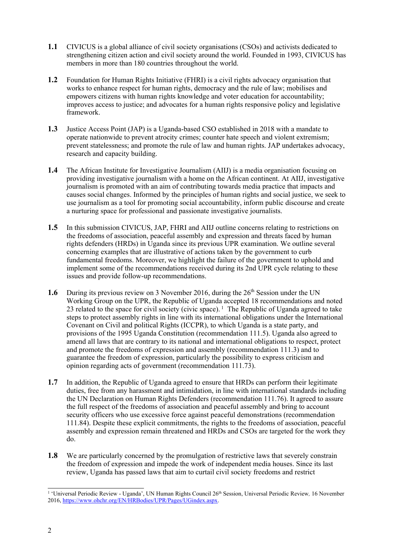- **1.1** CIVICUS is <sup>a</sup> global alliance of civil society organisations (CSOs) and activists dedicated to strengthening citizen action and civil society around the world. Founded in 1993, CIVICUS has members in more than 180 countries throughout the world.
- **1.2** Foundation for Human Rights Initiative (FHRI) is <sup>a</sup> civil rights advocacy organisation that works to enhance respec<sup>t</sup> for human rights, democracy and the rule of law; mobilises and empowers citizens with human rights knowledge and voter education for accountability; improves access to justice; and advocates for <sup>a</sup> human rights responsive policy and legislative framework.
- **1.3** Justice Access Point (JAP) is <sup>a</sup> Uganda-based CSO established in 2018 with <sup>a</sup> mandate to operate nationwide to preven<sup>t</sup> atrocity crimes; counter hate speech and violent extremism; preven<sup>t</sup> statelessness; and promote the rule of law and human rights. JAP undertakes advocacy, research and capacity building.
- **1.4** The African Institute for Investigative Journalism (AIIJ) is <sup>a</sup> media organisation focusing on providing investigative journalism with <sup>a</sup> home on the African continent. At AIIJ, investigative journalism is promoted with an aim of contributing towards media practice that impacts and causes social changes. Informed by the principles of human rights and social justice, we seek to use journalism as <sup>a</sup> tool for promoting social accountability, inform public discourse and create <sup>a</sup> nurturing space for professional and passionate investigative journalists.
- 1.5 In this submission CIVICUS, JAP, FHRI and AIIJ outline concerns relating to restrictions on the freedoms of association, peaceful assembly and expression and threats faced by human rights defenders (HRDs) in Uganda since its previous UPR examination. We outline several concerning examples that are illustrative of actions taken by the governmen<sup>t</sup> to curb fundamental freedoms. Moreover, we highlight the failure of the governmen<sup>t</sup> to uphold and implement some of the recommendations received during its 2nd UPR cycle relating to these issues and provide follow-up recommendations.
- **1.6** During its previous review on 3 November 2016, during the 26<sup>th</sup> Session under the UN Working Group on the UPR, the Republic of Uganda accepted 18 recommendations and noted 23 related to the space for civil society (civic space).  $\frac{1}{1}$  The Republic of Uganda agreed to take steps to protect assembly rights in line with its international obligations under the International Covenant on Civil and political Rights (ICCPR), to which Uganda is <sup>a</sup> state party, and provisions of the 1995 Uganda Constitution (recommendation 111.5). Uganda also agreed to amend all laws that are contrary to its national and international obligations to respect, protect and promote the freedoms of expression and assembly (recommendation 111.3) and to guarantee the freedom of expression, particularly the possibility to express criticism and opinion regarding acts of governmen<sup>t</sup> (recommendation 111.73).
- **1.7** In addition, the Republic of Uganda agreed to ensure that HRDs can perform their legitimate duties, free from any harassment and intimidation, in line with international standards including the UN Declaration on Human Rights Defenders (recommendation 111.76). It agreed to assure the full respec<sup>t</sup> of the freedoms of association and peaceful assembly and bring to account security officers who use excessive force against peaceful demonstrations (recommendation 111.84). Despite these explicit commitments, the rights to the freedoms of association, peaceful assembly and expression remain threatened and HRDs and CSOs are targeted for the work they do.
- **1.8** We are particularly concerned by the promulgation of restrictive laws that severely constrain the freedom of expression and impede the work of independent media houses. Since its last review, Uganda has passed laws that aim to curtail civil society freedoms and restrict

<sup>&</sup>lt;sup>1</sup> 'Universal Periodic Review - Uganda', UN Human Rights Council 26<sup>th</sup> Session, Universal Periodic Review, 16 November 2016, <https://www.ohchr.org/EN/HRBodies/UPR/Pages/UGindex.aspx>.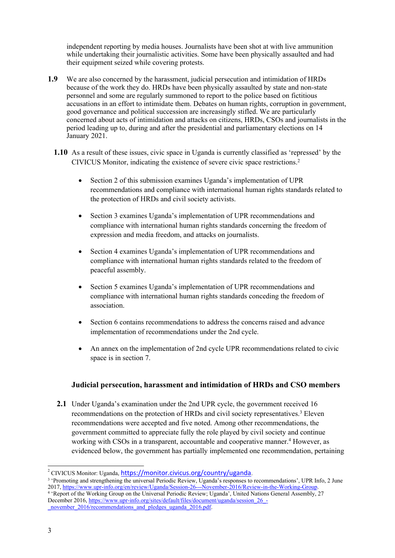independent reporting by media houses. Journalists have been shot at with live ammunition while undertaking their journalistic activities. Some have been physically assaulted and had their equipment seized while covering protests.

- **1.9** We are also concerned by the harassment, judicial persecution and intimidation of HRDs because of the work they do. HRDs have been physically assaulted by state and non-state personnel and some are regularly summoned to repor<sup>t</sup> to the police based on fictitious accusations in an effort to intimidate them. Debates on human rights, corruption in government, good governance and political succession are increasingly stifled. We are particularly concerned about acts of intimidation and attacks on citizens, HRDs, CSOs and journalists in the period leading up to, during and after the presidential and parliamentary elections on 14 January 2021.
	- **1.10** As <sup>a</sup> result of these issues, civic space in Uganda is currently classified as 'repressed' by the CIVICUS Monitor, indicating the existence of severe civic space restrictions. 2
		- . Section 2 of this submission examines Uganda'<sup>s</sup> implementation of UPR recommendations and compliance with international human rights standards related to the protection of HRDs and civil society activists.
		- Section 3 examines Uganda's implementation of UPR recommendations and compliance with international human rights standards concerning the freedom of expression and media freedom, and attacks on journalists.
		- . Section 4 examines Uganda'<sup>s</sup> implementation of UPR recommendations and compliance with international human rights standards related to the freedom of peaceful assembly.
		- $\bullet$  Section 5 examines Uganda'<sup>s</sup> implementation of UPR recommendations and compliance with international human rights standards conceding the freedom of association.
		- . Section 6 contains recommendations to address the concerns raised and advance implementation of recommendations under the 2nd cycle.
		- . An annex on the implementation of 2nd cycle UPR recommendations related to civic space is in section 7.

#### **Judicial persecution, harassment and intimidation of HRDs and CSO members**

**2.1** Under Uganda'<sup>s</sup> examination under the 2nd UPR cycle, the governmen<sup>t</sup> received 16 recommendations on the protection of HRDs and civil society representatives.<sup>3</sup> Eleven recommendations were accepted and five noted. Among other recommendations, the governmen<sup>t</sup> committed to appreciate fully the role played by civil society and continue working with CSOs in <sup>a</sup> transparent, accountable and cooperative manner. <sup>4</sup> However, as evidenced below, the governmen<sup>t</sup> has partially implemented one recommendation, pertaining

<sup>&</sup>lt;sup>2</sup> CIVICUS Monitor: Uganda, <https://monitor.civicus.org/country/uganda>.

<sup>3</sup> 'Promoting and strengthening the universal Periodic Review, Uganda'<sup>s</sup> responses to recommendations', UPR Info, 2 June 2017, [https://www.upr-info.org/en/review/Uganda/Session-26---November-2016/Review-in-the-Working-Group](https://www.upr-info.org/en/review/Uganda/Session-26---November-2016/Review-in-the-Working-Group#top).

<sup>4</sup> 'Report of the Working Group on the Universal Periodic Review; Uganda', United Nations General Assembly, 27 December 2016, [https://www.upr-info.org/sites/default/files/document/uganda/session\\_26\\_-](https://www.upr-info.org/sites/default/files/document/uganda/session_26_-_november_2016/recommendations_and_pledges_uganda_2016.pdf) [\\_november\\_2016/recommendations\\_and\\_pledges\\_uganda\\_2016.pdf](https://www.upr-info.org/sites/default/files/document/uganda/session_26_-_november_2016/recommendations_and_pledges_uganda_2016.pdf).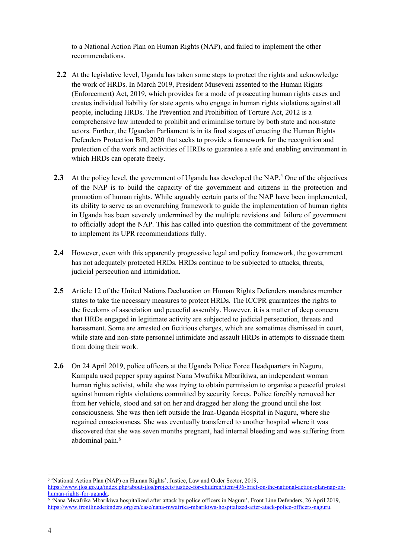to <sup>a</sup> National Action Plan on Human Rights (NAP), and failed to implement the other recommendations.

- **2.2** At the legislative level, Uganda has taken some steps to protect the rights and acknowledge the work of HRDs. In March 2019, President Museveni assented to the Human Rights (Enforcement) Act, 2019, which provides for <sup>a</sup> mode of prosecuting human rights cases and creates individual liability for state agents who engage in human rights violations against all people, including HRDs. The Prevention and Prohibition of Torture Act, 2012 is <sup>a</sup> comprehensive law intended to prohibit and criminalise torture by both state and non-state actors. Further, the Ugandan Parliament is in its final stages of enacting the Human Rights Defenders Protection Bill, 2020 that seeks to provide <sup>a</sup> framework for the recognition and protection of the work and activities of HRDs to guarantee <sup>a</sup> safe and enabling environment in which HRDs can operate freely.
- 2.3 At the policy level, the government of Uganda has developed the NAP.<sup>5</sup> One of the objectives of the NAP is to build the capacity of the governmen<sup>t</sup> and citizens in the protection and promotion of human rights. While arguably certain parts of the NAP have been implemented, its ability to serve as an overarching framework to guide the implementation of human rights in Uganda has been severely undermined by the multiple revisions and failure of governmen<sup>t</sup> to officially adopt the NAP. This has called into question the commitment of the governmen<sup>t</sup> to implement its UPR recommendations fully.
- **2.4** However, even with this apparently progressive legal and policy framework, the governmen<sup>t</sup> has not adequately protected HRDs. HRDs continue to be subjected to attacks, threats, judicial persecution and intimidation.
- **2.5** Article 12 of the United Nations Declaration on Human Rights Defenders mandates member states to take the necessary measures to protect HRDs. The ICCPR guarantees the rights to the freedoms of association and peaceful assembly. However, it is <sup>a</sup> matter of deep concern that HRDs engaged in legitimate activity are subjected to judicial persecution, threats and harassment. Some are arrested on fictitious charges, which are sometimes dismissed in court, while state and non-state personnel intimidate and assault HRDs in attempts to dissuade them from doing their work.
- **2.6** On 24 April 2019, police officers at the Uganda Police Force Headquarters in Naguru, Kampala used pepper spray against Nana Mwafrika Mbarikiwa, an independent woman human rights activist, while she was trying to obtain permission to organise <sup>a</sup> peaceful protest against human rights violations committed by security forces. Police forcibly removed her from her vehicle, stood and sat on her and dragged her along the ground until she lost consciousness. She was then left outside the Iran-Uganda Hospital in Naguru, where she regained consciousness. She was eventually transferred to another hospital where it was discovered that she was seven months pregnant, had internal bleeding and was suffering from abdominal pain. 6

<sup>5</sup> 'National Action Plan (NAP) on Human Rights', Justice, Law and Order Sector, 2019, [https://www.jlos.go.ug/index.php/about-jlos/projects/justice-for-children/item/496-brief-on-the-national-action-plan-nap-on](https://www.jlos.go.ug/index.php/about-jlos/projects/justice-for-children/item/496-brief-on-the-national-action-plan-nap-on-human-rights-for-uganda)[human-rights-for-uganda](https://www.jlos.go.ug/index.php/about-jlos/projects/justice-for-children/item/496-brief-on-the-national-action-plan-nap-on-human-rights-for-uganda).

<sup>6</sup> 'Nana Mwafrika Mbarikiwa hospitalized after attack by police officers in Naguru', Front Line Defenders, 26 April 2019, <https://www.frontlinedefenders.org/en/case/nana-mwafrika-mbarikiwa-hospitalized-after-atack-police-officers-naguru>.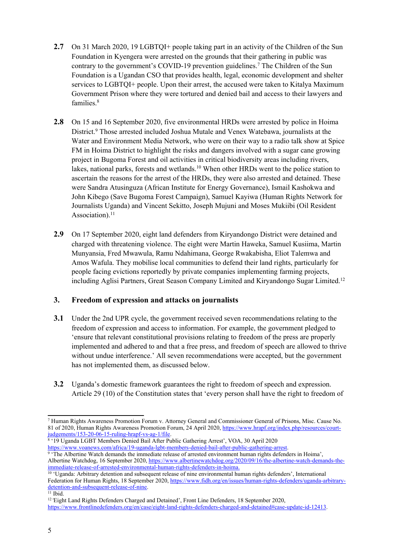- **2.7** On 31 March 2020, 19 LGBTQI+ people taking par<sup>t</sup> in an activity of the Children of the Sun Foundation in Kyengera were arrested on the grounds that their gathering in public was contrary to the government'<sup>s</sup> COVID-19 prevention guidelines. 7 The Children of the Sun Foundation is <sup>a</sup> Ugandan CSO that provides health, legal, economic development and shelter services to LGBTQI+ people. Upon their arrest, the accused were taken to Kitalya Maximum Government Prison where they were tortured and denied bail and access to their lawyers and families. 8
- **2.8** On 15 and 16 September 2020, five environmental HRDs were arrested by police in Hoima District. 9 Those arrested included Joshua Mutale and Venex Watebawa, journalists at the Water and Environment Media Network, who were on their way to <sup>a</sup> radio talk show at Spice FM in Hoima District to highlight the risks and dangers involved with <sup>a</sup> sugar cane growing project in Bugoma Forest and oil activities in critical biodiversity areas including rivers, lakes, national parks, forests and wetlands.<sup>10</sup> When other HRDs went to the police station to ascertain the reasons for the arrest of the HRDs, they were also arrested and detained. These were Sandra Atusinguza (African Institute for Energy Governance), Ismail Kashokwa and John Kibego (Save Bugoma Forest Campaign), Samuel Kayiwa (Human Rights Network for Journalists Uganda) and Vincent Sekitto, Joseph Mujuni and Moses Mukiibi (Oil Resident Association). 11
- **2.9** On 17 September 2020, eight land defenders from Kiryandongo District were detained and charged with threatening violence. The eight were Martin Haweka, Samuel Kusiima, Martin Munyansia, Fred Mwawula, Ramu Ndahimana, George Rwakabisha, Eliot Talemwa and Amos Wafula. They mobilise local communities to defend their land rights, particularly for people facing evictions reportedly by private companies implementing farming projects, including Aglisi Partners, Great Season Company Limited and Kiryandongo Sugar Limited. 12

#### **3. Freedom of expression and attacks on journalists**

- **3.1** Under the 2nd UPR cycle, the governmen<sup>t</sup> received seven recommendations relating to the freedom of expression and access to information. For example, the governmen<sup>t</sup> pledged to 'ensure that relevant constitutional provisions relating to freedom of the press are properly implemented and adhered to and that <sup>a</sup> free press, and freedom of speech are allowed to thrive without undue interference.' All seven recommendations were accepted, but the governmen<sup>t</sup> has not implemented them, as discussed below.
- **3.2** Uganda'<sup>s</sup> domestic framework guarantees the right to freedom of speech and expression. Article 29 (10) of the Constitution states that 'every person shall have the right to freedom of

<sup>7</sup> Human Rights Awareness Promotion Forum v. Attorney General and Commissioner General of Prisons, Misc. Cause No. 81 of 2020, Human Rights Awareness Promotion Forum, 24 April 2020, [https://www.hrapf.org/index.php/resources/court](https://www.hrapf.org/index.php/resources/court-judgements/153-20-06-15-ruling-hrapf-vs-ag-1/file)[judgements/153-20-06-15-ruling-hrapf-vs-ag-1/file](https://www.hrapf.org/index.php/resources/court-judgements/153-20-06-15-ruling-hrapf-vs-ag-1/file).

<sup>8</sup> '19 Uganda LGBT Members Denied Bail After Public Gathering Arrest', VOA, 30 April 2020 <https://www.voanews.com/africa/19-uganda-lgbt-members-denied-bail-after-public-gathering-arrest>. 9 'The Albertine Watch demands the immediate release of arrested environment human rights defenders in Hoima',

Albertine Watchdog, 16 September 2020, [https://www.albertinewatchdog.org/2020/09/16/the-albertine-watch-demands-the](https://www.albertinewatchdog.org/2020/09/16/the-albertine-watch-demands-the-immediate-release-of-arrested-environmental-human-rights-defenders-in-hoima/)[immediate-release-of-arrested-environmental-human-rights-defenders-in-hoima](https://www.albertinewatchdog.org/2020/09/16/the-albertine-watch-demands-the-immediate-release-of-arrested-environmental-human-rights-defenders-in-hoima/).<br><sup>10</sup> 'Uganda: Arbitrary detention and subsequent release of nine environmental human rights defenders', International

Federation for Human Rights, 18 September 2020, [https://www.fidh.org/en/issues/human-rights-defenders/uganda-arbitrary](https://www.fidh.org/en/issues/human-rights-defenders/uganda-arbitrary-detention-and-subsequent-release-of-nine)[detention-and-subsequent-release-of-nine](https://www.fidh.org/en/issues/human-rights-defenders/uganda-arbitrary-detention-and-subsequent-release-of-nine).

 $11$  Ibid.

<sup>&</sup>lt;sup>12</sup> Eight Land Rights Defenders Charged and Detained', Front Line Defenders, 18 September 2020, <https://www.frontlinedefenders.org/en/case/eight-land-rights-defenders-charged-and-detained#case-update-id-12413>.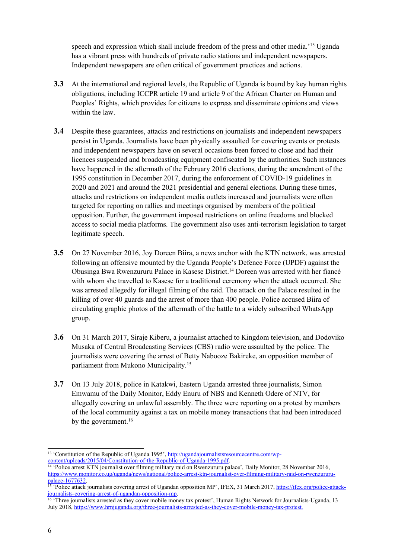speech and expression which shall include freedom of the press and other media.<sup>'13</sup> Uganda has <sup>a</sup> vibrant press with hundreds of private radio stations and independent newspapers. Independent newspapers are often critical of governmen<sup>t</sup> practices and actions.

- **3.3** At the international and regional levels, the Republic of Uganda is bound by key human rights obligations, including ICCPR article 19 and article 9 of the African Charter on Human and Peoples' Rights, which provides for citizens to express and disseminate opinions and views within the law.
- **3.4** Despite these guarantees, attacks and restrictions on journalists and independent newspapers persist in Uganda. Journalists have been physically assaulted for covering events or protests and independent newspapers have on several occasions been forced to close and had their licences suspended and broadcasting equipment confiscated by the authorities. Such instances have happened in the aftermath of the February 2016 elections, during the amendment of the 1995 constitution in December 2017, during the enforcement of COVID-19 guidelines in 2020 and 2021 and around the 2021 presidential and general elections. During these times, attacks and restrictions on independent media outlets increased and journalists were often targeted for reporting on rallies and meetings organised by members of the political opposition. Further, the governmen<sup>t</sup> imposed restrictions on online freedoms and blocked access to social media platforms. The governmen<sup>t</sup> also uses anti-terrorism legislation to target legitimate speech.
- **3.5** On 27 November 2016, Joy Doreen Biira, <sup>a</sup> news anchor with the KTN network, was arrested following an offensive mounted by the Uganda People'<sup>s</sup> Defence Force (UPDF) against the Obusinga Bwa Rwenzururu Palace in Kasese District. <sup>14</sup> Doreen was arrested with her fiancé with whom she travelled to Kasese for <sup>a</sup> traditional ceremony when the attack occurred. She was arrested allegedly for illegal filming of the raid. The attack on the Palace resulted in the killing of over 40 guards and the arrest of more than 400 people. Police accused Biira of circulating graphic photos of the aftermath of the battle to <sup>a</sup> widely subscribed WhatsApp group.
- **3.6** On 31 March 2017, Siraje Kiberu, <sup>a</sup> journalist attached to Kingdom television, and Dodoviko Musaka of Central Broadcasting Services (CBS) radio were assaulted by the police. The journalists were covering the arrest of Betty Nabooze Bakireke, an opposition member of parliament from Mukono Municipality. 15
- **3.7** On 13 July 2018, police in Katakwi, Eastern Uganda arrested three journalists, Simon Emwamu of the Daily Monitor, Eddy Enuru of NBS and Kenneth Odere of NTV, for allegedly covering an unlawful assembly. The three were reporting on <sup>a</sup> protest by members of the local community against <sup>a</sup> tax on mobile money transactions that had been introduced by the government. 16

<sup>&</sup>lt;sup>13</sup> 'Constitution of the Republic of Uganda 1995', [http://ugandajournalistsresourcecentre.com/wp](http://ugandajournalistsresourcecentre.com/wp-content/uploads/2015/04/Constitution-of-the-Republic-of-Uganda-1995.pdf)[content/uploads/2015/04/Constitution-of-the-Republic-of-Uganda-1995.pdf](http://ugandajournalistsresourcecentre.com/wp-content/uploads/2015/04/Constitution-of-the-Republic-of-Uganda-1995.pdf).

<sup>14</sup> 'Police arrest KTN journalist over filming military raid on Rwenzururu palace', Daily Monitor, 28 November 2016, [https://www.monitor.co.ug/uganda/news/national/police-arrest-ktn-journalist-over-filming-military-raid-on-rwenzururu-](https://www.monitor.co.ug/uganda/news/national/police-arrest-ktn-journalist-over-filming-military-raid-on-rwenzururu-palace-1677632)

pa[lace-1677632](https://www.monitor.co.ug/uganda/news/national/police-arrest-ktn-journalist-over-filming-military-raid-on-rwenzururu-palace-1677632).<br><sup>15</sup> 'Police attack journalists covering arrest of Ugandan opposition MP', IFEX, 31 March 2017, <u>https://ifex.org/police-attack-</u>

[journalists-covering-arrest-of-ugandan-opposition-mp](https://ifex.org/police-attack-journalists-covering-arrest-of-ugandan-opposition-mp).<br><sup>16</sup> 'Three journalists arrested as they cover mobile money tax protest', Human Rights Network for Journalists-Uganda, 13 July 2018, <https://www.hrnjuganda.org/three-journalists-arrested-as-they-cover-mobile-money-tax-protest.>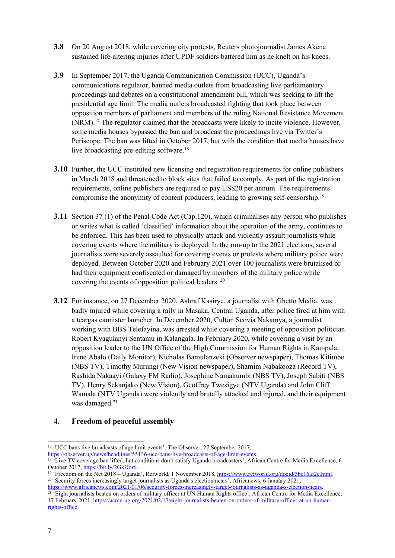- **3.8** On 20 August 2018, while covering city protests, Reuters photojournalist James Akena sustained life-altering injuries after UPDF soldiers battered him as he knelt on his knees.
- **3.9** In September 2017, the Uganda Communication Commission (UCC), Uganda'<sup>s</sup> communications regulator, banned media outlets from broadcasting live parliamentary proceedings and debates on <sup>a</sup> constitutional amendment bill, which was seeking to lift the presidential age limit. The media outlets broadcasted fighting that took place between opposition members of parliament and members of the ruling National Resistance Movement (NRM).<sup>17</sup> The regulator claimed that the broadcasts were likely to incite violence. However, some media houses bypassed the ban and broadcast the proceedings live via Twitter'<sup>s</sup> Periscope. The ban was lifted in October 2017, but with the condition that media houses have live broadcasting pre-editing software. 18
- **3.10** Further, the UCC instituted new licensing and registration requirements for online publishers in March 2018 and threatened to block sites that failed to comply. As par<sup>t</sup> of the registration requirements, online publishers are required to pay US\$20 per annum. The requirements compromise the anonymity of content producers, leading to growing self-censorship.<sup>19</sup>
- **3.11** Section 37 (1) of the Penal Code Act (Cap.120), which criminalises any person who publishes or writes what is called 'classified' information about the operation of the army, continues to be enforced. This has been used to physically attack and violently assault journalists while covering events where the military is deployed. In the run-up to the 2021 elections, several journalists were severely assaulted for covering events or protests where military police were deployed. Between October 2020 and February 2021 over 100 journalists were brutalised or had their equipment confiscated or damaged by members of the military police while covering the events of opposition political leaders. 20
- **3.12** For instance, on 27 December 2020, Ashraf Kasirye, <sup>a</sup> journalist with Ghetto Media, was badly injured while covering <sup>a</sup> rally in Masaka, Central Uganda, after police fired at him with <sup>a</sup> teargas cannister launcher. In December 2020, Culton Scovia Nakamya, <sup>a</sup> journalist working with BBS Telefayina, was arrested while covering <sup>a</sup> meeting of opposition politician Robert Kyagulanyi Sentamu in Kalangala. In February 2020, while covering <sup>a</sup> visit by an opposition leader to the UN Office of the High Commission for Human Rights in Kampala, Irene Abalo (Daily Monitor), Nicholas Bamulanzeki (Observer newspaper), Thomas Kitimbo (NBS TV), Timothy Murungi (New Vision newspaper), Shamim Nabakooza (Record TV), Rashida Nakaayi (Galaxy FM Radio), Josephine Namakumbi (NBS TV), Joseph Sabiti (NBS TV), Henry Sekanjako (New Vision), Geoffrey Twesigye (NTV Uganda) and John Cliff Wamala (NTV Uganda) were violently and brutally attacked and injured, and their equipment was damaged. 21

#### **4. Freedom of peaceful assembly**

<sup>&</sup>lt;sup>17</sup> 'UCC bans live broadcasts of age limit events', The Observer, 27 September 2017,

<https://observer.ug/news/headlines/55136-ucc-bans-live-broadcasts-of-age-limit-events>.<br><sup>18</sup> 'Live TV coverage ban lifted, but conditions don't satisfy Uganda broadcasters', African Centre for Media Excellence, 6 October 2017, <https://bit.ly/2GkDor6>.

<sup>&</sup>lt;sup>19</sup> 'Freedom on the Net 2018 – Uganda', Refworld, 1 November 2018, <https://www.refworld.org/docid/5be16af2c.html>. <sup>20</sup> 'Security forces increasingly target journalists as Uganda's election nears', Africanews, 6 January 2021,

[https://www.africanews.com/2021/01/06/security-forces-increasingly-target-journalists-as-uganda-s-election-nears](https://www.africanews.com/2021/01/06/security-forces-increasingly-target-journalists-as-uganda-s-election-nears//). <sup>21</sup> 'Eight journalists beaten on orders of military officer at UN Human Rights office', African Centre for Media Excellence, 17 February 2021, [https://acme-ug.org/2021/02/17/eight-journalists-beaten-on-orders-of-military-officer-at-un-human](https://acme-ug.org/2021/02/17/eight-journalists-beaten-on-orders-of-military-officer-at-un-human-rights-office/)[rights-office](https://acme-ug.org/2021/02/17/eight-journalists-beaten-on-orders-of-military-officer-at-un-human-rights-office/).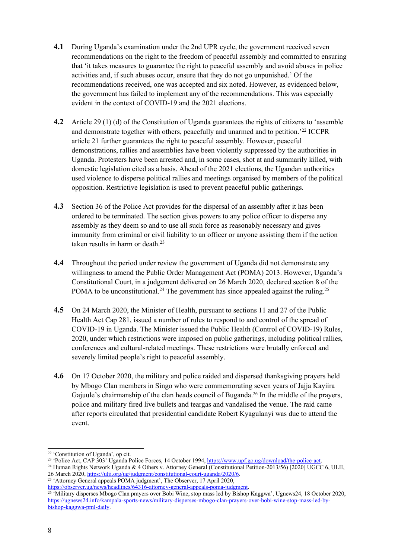- **4.1** During Uganda'<sup>s</sup> examination under the 2nd UPR cycle, the governmen<sup>t</sup> received seven recommendations on the right to the freedom of peaceful assembly and committed to ensuring that 'it takes measures to guarantee the right to peaceful assembly and avoid abuses in police activities and, if such abuses occur, ensure that they do not go unpunished.' Of the recommendations received, one was accepted and six noted. However, as evidenced below, the governmen<sup>t</sup> has failed to implement any of the recommendations. This was especially evident in the context of COVID-19 and the 2021 elections.
- **4.2** Article 29 (1) (d) of the Constitution of Uganda guarantees the rights of citizens to 'assemble and demonstrate together with others, peacefully and unarmed and to petition.' 22 ICCPR article 21 further guarantees the right to peaceful assembly. However, peaceful demonstrations, rallies and assemblies have been violently suppressed by the authorities in Uganda. Protesters have been arrested and, in some cases, shot at and summarily killed, with domestic legislation cited as <sup>a</sup> basis. Ahead of the 2021 elections, the Ugandan authorities used violence to disperse political rallies and meetings organised by members of the political opposition. Restrictive legislation is used to preven<sup>t</sup> peaceful public gatherings.
- **4.3** Section 36 of the Police Act provides for the dispersal of an assembly after it has been ordered to be terminated. The section gives powers to any police officer to disperse any assembly as they deem so and to use all such force as reasonably necessary and gives immunity from criminal or civil liability to an officer or anyone assisting them if the action taken results in harm or death. 23
- **4.4** Throughout the period under review the governmen<sup>t</sup> of Uganda did not demonstrate any willingness to amend the Public Order Management Act (POMA) 2013. However, Uganda'<sup>s</sup> Constitutional Court, in <sup>a</sup> judgement delivered on 26 March 2020, declared section 8 of the POMA to be unconstitutional.<sup>24</sup> The government has since appealed against the ruling.<sup>25</sup>
- **4.5** On 24 March 2020, the Minister of Health, pursuan<sup>t</sup> to sections 11 and 27 of the Public Health Act Cap 281, issued <sup>a</sup> number of rules to respond to and control of the spread of COVID-19 in Uganda. The Minister issued the Public Health (Control of COVID-19) Rules, 2020, under which restrictions were imposed on public gatherings, including political rallies, conferences and cultural-related meetings. These restrictions were brutally enforced and severely limited people'<sup>s</sup> right to peaceful assembly.
- **4.6** On 17 October 2020, the military and police raided and dispersed thanksgiving prayers held by Mbogo Clan members in Singo who were commemorating seven years of Jajja Kayiira Gajuule's chairmanship of the clan heads council of Buganda.<sup>26</sup> In the middle of the prayers, police and military fired live bullets and teargas and vandalised the venue. The raid came after reports circulated that presidential candidate Robert Kyagulanyi was due to attend the event.

<sup>22</sup> 'Constitution of Uganda', op cit.

<sup>&</sup>lt;sup>23</sup> 'Police Act, CAP 303' Uganda Police Forces, 14 October 1994, [https://www.upf.go.ug/download/the-police-act](https://www.upf.go.ug/download/the-police-act/).

<sup>&</sup>lt;sup>24</sup> Human Rights Network Uganda & 4 Others v. Attorney General (Constitutional Petition-2013/56) [2020] UGCC 6, ULII, 26 March 2020, <https://ulii.org/ug/judgment/constitutional-court-uganda/2020/6>.

<sup>&</sup>lt;sup>25</sup> 'Attorney General appeals POMA judgment', The Observer, 17 April 2020, <https://observer.ug/news/headlines/64316-attorney-general-appeals-poma-judgment>.

<sup>&</sup>lt;sup>26</sup> 'Military disperses Mbogo Clan prayers over Bobi Wine, stop mass led by Bishop Kaggwa', Ugnews24, 18 October 2020, [https://ugnews24.info/kampala-sports-news/military-disperses-mbogo-clan-prayers-over-bobi-wine-stop-mass-led-by](https://ugnews24.info/kampala-sports-news/military-disperses-mbogo-clan-prayers-over-bobi-wine-stop-mass-led-by-bishop-kaggwa-pml-daily/)[bishop-kaggwa-pml-daily](https://ugnews24.info/kampala-sports-news/military-disperses-mbogo-clan-prayers-over-bobi-wine-stop-mass-led-by-bishop-kaggwa-pml-daily/).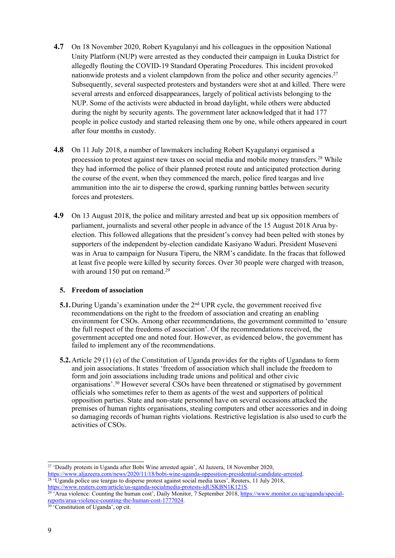- **4.7** On 18 November 2020, Robert Kyagulanyi and his colleagues in the opposition National Unity Platform (NUP) were arrested as they conducted their campaign in Luuka District for allegedly flouting the COVID-19 Standard Operating Procedures. This incident provoked nationwide protests and a violent clampdown from the police and other security agencies.<sup>27</sup> Subsequently, several suspected protesters and bystanders were shot at and killed. There were several arrests and enforced disappearances, largely of political activists belonging to the NUP. Some of the activists were abducted in broad daylight, while others were abducted during the night by security agents. The governmen<sup>t</sup> later acknowledged that it had 177 people in police custody and started releasing them one by one, while others appeared in court after four months in custody.
- **4.8** On 11 July 2018, <sup>a</sup> number of lawmakers including Robert Kyagulanyi organised <sup>a</sup> procession to protest against new taxes on social media and mobile money transfers. <sup>28</sup> While they had informed the police of their planned protest route and anticipated protection during the course of the event, when they commenced the march, police fired teargas and live ammunition into the air to disperse the crowd, sparking running battles between security forces and protesters.
- **4.9** On 13 August 2018, the police and military arrested and beat up six opposition members of parliament, journalists and several other people in advance of the 15 August 2018 Arua byelection. This followed allegations that the president'<sup>s</sup> convey had been pelted with stones by supporters of the independent by-election candidate Kasiyano Waduri. President Museveni was in Arua to campaign for Nusura Tiperu, the NRM'<sup>s</sup> candidate. In the fracas that followed at least five people were killed by security forces. Over 30 people were charged with treason, with around 150 put on remand.<sup>29</sup>

#### **5. Freedom of association**

- **5.1.** During Uganda's examination under the 2<sup>nd</sup> UPR cycle, the government received five recommendations on the right to the freedom of association and creating an enabling environment for CSOs. Among other recommendations, the governmen<sup>t</sup> committed to 'ensure the full respec<sup>t</sup> of the freedoms of association'. Of the recommendations received, the governmen<sup>t</sup> accepted one and noted four. However, as evidenced below, the governmen<sup>t</sup> has failed to implement any of the recommendations.
- **5.2.**Article 29 (1) (e) of the Constitution of Uganda provides for the rights of Ugandans to form and join associations. It states 'freedom of association which shall include the freedom to form and join associations including trade unions and political and other civic organisations'. <sup>30</sup> However several CSOs have been threatened or stigmatised by governmen<sup>t</sup> officials who sometimes refer to them as agents of the west and supporters of political opposition parties. State and non-state personnel have on several occasions attacked the premises of human rights organisations, stealing computers and other accessories and in doing so damaging records of human rights violations. Restrictive legislation is also used to curb the activities of CSOs.

<sup>27</sup> 'Deadly protests in Uganda after Bobi Wine arrested again', Al Jazeera, 18 November 2020,

<https://www.aljazeera.com/news/2020/11/18/bobi-wine-uganda-opposition-presidential-candidate-arrested>.<br><sup>28</sup> 'Uganda police use teargas to disperse protest against social media taxes', Reuters, 11 July 2018, <https://www.reuters.com/article/us-uganda-socialmedia-protests-idUSKBN1K121S>.

<sup>29</sup> 'Arua violence: Counting the human cost', Daily Monitor, 7 September 2018, [https://www.monitor.co.ug/uganda/special](https://www.monitor.co.ug/uganda/special-reports/arua-violence-counting-the-human-cost-1777024)repor[ts/arua-violence-counting-the-human-cost-1777024](https://www.monitor.co.ug/uganda/special-reports/arua-violence-counting-the-human-cost-1777024). 30 'Constitution of Uganda', op cit.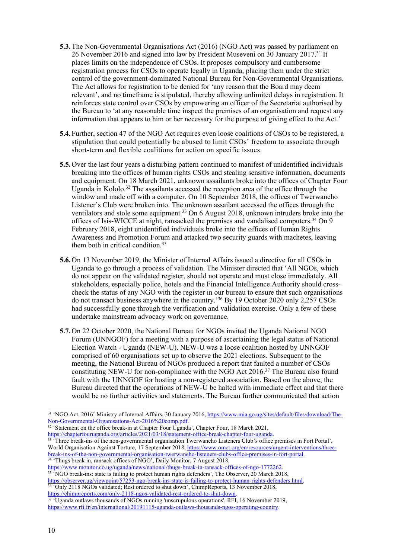- **5.3.**The Non-Governmental Organisations Act (2016) (NGO Act) was passed by parliament on 26 November 2016 and signed into law by President Museveni on 30 January 2017.<sup>31</sup> It places limits on the independence of CSOs. It proposes compulsory and cumbersome registration process for CSOs to operate legally in Uganda, placing them under the strict control of the government-dominated National Bureau for Non-Governmental Organisations. The Act allows for registration to be denied for 'any reason that the Board may deem relevant', and no timeframe is stipulated, thereby allowing unlimited delays in registration. It reinforces state control over CSOs by empowering an officer of the Secretariat authorised by the Bureau to 'at any reasonable time inspect the premises of an organisation and reques<sup>t</sup> any information that appears to him or her necessary for the purpose of giving effect to the Act.'
- **5.4.**Further, section 47 of the NGO Act requires even loose coalitions of CSOs to be registered, <sup>a</sup> stipulation that could potentially be abused to limit CSOs' freedom to associate through short-term and flexible coalitions for action on specific issues.
- **5.5.**Over the last four years <sup>a</sup> disturbing pattern continued to manifest of unidentified individuals breaking into the offices of human rights CSOs and stealing sensitive information, documents and equipment. On 18 March 2021, unknown assailants broke into the offices of Chapter Four Uganda in Kololo. 32 The assailants accessed the reception area of the office through the window and made off with <sup>a</sup> computer. On 10 September 2018, the offices of Twerwaneho Listener'<sup>s</sup> Club were broken into. The unknown assailant accessed the offices through the ventilators and stole some equipment. <sup>33</sup> On 6 August 2018, unknown intruders broke into the offices of Isis-WICCE at night, ransacked the premises and vandalised computers.<sup>34</sup> On 9 February 2018, eight unidentified individuals broke into the offices of Human Rights Awareness and Promotion Forum and attacked two security guards with machetes, leaving them both in critical condition.<sup>35</sup>
- **5.6.**On 13 November 2019, the Minister of Internal Affairs issued <sup>a</sup> directive for all CSOs in Uganda to go through <sup>a</sup> process of validation. The Minister directed that 'All NGOs, which do not appear on the validated register, should not operate and must close immediately. All stakeholders, especially police, hotels and the Financial Intelligence Authority should crosscheck the status of any NGO with the register in our bureau to ensure that such organisations do not transact business anywhere in the country.' <sup>36</sup> By 19 October 2020 only 2,257 CSOs had successfully gone through the verification and validation exercise. Only <sup>a</sup> few of these undertake mainstream advocacy work on governance.
- **5.7.**On 22 October 2020, the National Bureau for NGOs invited the Uganda National NGO Forum (UNNGOF) for <sup>a</sup> meeting with <sup>a</sup> purpose of ascertaining the legal status of National Election Watch - Uganda (NEW-U). NEW-U was <sup>a</sup> loose coalition hosted by UNNGOF comprised of 60 organisations set up to observe the 2021 elections. Subsequent to the meeting, the National Bureau of NGOs produced <sup>a</sup> repor<sup>t</sup> that faulted <sup>a</sup> number of CSOs constituting NEW-U for non-compliance with the NGO Act 2016.<sup>37</sup> The Bureau also found fault with the UNNGOF for hosting <sup>a</sup> non-registered association. Based on the above, the Bureau directed that the operations of NEW-U be halted with immediate effect and that there would be no further activities and statements. The Bureau further communicated that action

<https://chapterfouruganda.org/articles/2021/03/18/statement-office-break-chapter-four-uganda>.

<https://observer.ug/viewpoint/57253-ngo-break-ins-state-is-failing-to-protect-human-rights-defenders.html><br><sup>36</sup> 'Only 2118 NGOs validated; Rest ordered to shut down', ChimpReports, 13 November 2018, [https://chimpreports.com/only-2118-ngos-validated-rest-ordered-to-shut-down](https://chimpreports.com/only-2118-ngos-validated-rest-ordered-to-shut-down/). 37 'Uganda outlaws thousands of NGOs running 'unscrupulous operations', RFI, 16 November 2019,

<sup>&</sup>lt;sup>31</sup> 'NGO Act, 2016' Ministry of Internal Affairs, 30 January 2016, [https://www.mia.go.ug/sites/default/files/download/The-](https://www.mia.go.ug/sites/default/files/download/The-Non-Governmental-Organisations-Act-2016%20comp.pdf)[Non-Governmental-Organisations-Act-2016%20comp.pdf](https://www.mia.go.ug/sites/default/files/download/The-Non-Governmental-Organisations-Act-2016%20comp.pdf).<br><sup>32</sup> 'Statement on the office break-in at Chapter Four Uganda', Chapter Four, 18 March 2021,

<sup>33</sup> 'Three break-ins of the non-governmental organisation Twerwaneho Listeners Club'<sup>s</sup> office premises in Fort Portal', World Organisation Against Torture, 17 September 2018, [https://www.omct.org/en/resources/urgent-interventions/three](https://www.omct.org/en/resources/urgent-interventions/three-break-ins-of-the-non-governmental-organisation-twerwaneho-listeners-clubs-office-premises-in-fort-portal)[break-ins-of-the-non-governmental-organisation-twerwaneho-listeners-clubs-office-premises-in-fort-portal](https://www.omct.org/en/resources/urgent-interventions/three-break-ins-of-the-non-governmental-organisation-twerwaneho-listeners-clubs-office-premises-in-fort-portal).<br><sup>34</sup> 'Thugs break in, ransack offices of NGO', Daily Monitor, 7 August 2018,

<https://www.monitor.co.ug/uganda/news/national/thugs-break-in-ransack-offices-of-ngo-1772262>.<br><sup>35</sup> 'NGO break-ins: state is failing to protect human rights defenders', The Observer, 20 March 2018,

<https://www.rfi.fr/en/international/20191115-uganda-outlaws-thousands-ngos-operating-country>.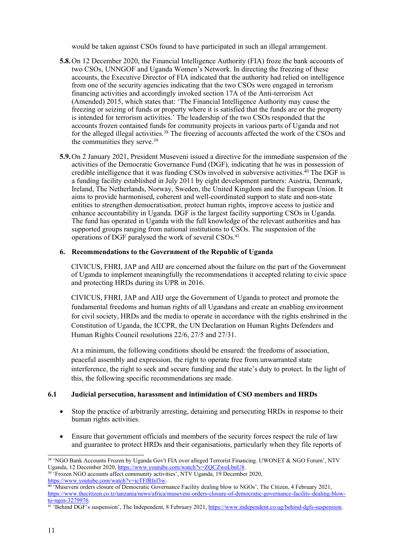would be taken against CSOs found to have participated in such an illegal arrangement.

- **5.8.**On 12 December 2020, the Financial Intelligence Authority (FIA) froze the bank accounts of two CSOs, UNNGOF and Uganda Women'<sup>s</sup> Network. In directing the freezing of these accounts, the Executive Director of FIA indicated that the authority had relied on intelligence from one of the security agencies indicating that the two CSOs were engaged in terrorism financing activities and accordingly invoked section 17A of the Anti-terrorism Act (Amended) 2015, which states that: 'The Financial Intelligence Authority may cause the freezing or seizing of funds or property where it is satisfied that the funds are or the property is intended for terrorism activities.' The leadership of the two CSOs responded that the accounts frozen contained funds for community projects in various parts of Uganda and not for the alleged illegal activities. 38 The freezing of accounts affected the work of the CSOs and the communities they serve.<sup>39</sup>
- **5.9.**On 2 January 2021, President Museveni issued <sup>a</sup> directive for the immediate suspension of the activities of the Democratic Governance Fund (DGF), indicating that he was in possession of credible intelligence that it was funding CSOs involved in subversive activities. 40 The DGF is <sup>a</sup> funding facility established in July 2011 by eight development partners: Austria, Denmark, Ireland, The Netherlands, Norway, Sweden, the United Kingdom and the European Union. It aims to provide harmonised, coherent and well-coordinated suppor<sup>t</sup> to state and non-state entities to strengthen democratisation, protect human rights, improve access to justice and enhance accountability in Uganda. DGF is the largest facility supporting CSOs in Uganda. The fund has operated in Uganda with the full knowledge of the relevant authorities and has supported groups ranging from national institutions to CSOs. The suspension of the operations of DGF paralysed the work of several CSOs.<sup>41</sup>

#### **6. Recommendations to the Government of the Republic of Uganda**

CIVICUS, FHRI, JAP and AIIJ are concerned about the failure on the par<sup>t</sup> of the Government of Uganda to implement meaningfully the recommendations it accepted relating to civic space and protecting HRDs during its UPR in 2016.

CIVICUS, FHRI, JAP and AIIJ urge the Government of Uganda to protect and promote the fundamental freedoms and human rights of all Ugandans and create an enabling environment for civil society, HRDs and the media to operate in accordance with the rights enshrined in the Constitution of Uganda, the ICCPR, the UN Declaration on Human Rights Defenders and Human Rights Council resolutions 22/6, 27/5 and 27/31.

At <sup>a</sup> minimum, the following conditions should be ensured: the freedoms of association, peaceful assembly and expression, the right to operate free from unwarranted state interference, the right to seek and secure funding and the state'<sup>s</sup> duty to protect. In the light of this, the following specific recommendations are made.

#### **6.1 Judicial persecution, harassment and intimidation of CSO members and HRDs**

- Stop the practice of arbitrarily arresting, detaining and persecuting HRDs in response to their human rights activities.
- $\bullet$  Ensure that governmen<sup>t</sup> officials and members of the security forces respec<sup>t</sup> the rule of law and guarantee to protect HRDs and their organisations, particularly when they file reports of

<https://www.youtube.com/watch?v=icTFfRIsf3w>.

<sup>38</sup> 'NGO Bank Accounts Frozen by Uganda Gov't FIA over alleged Terrorist Financing. UWONET & NGO Forum', NTV Uganda, 12 December 2020, <u><https://www.youtube.com/watch?v=ZQCZwoLbnU8></u>.<br><sup>39</sup> 'Frozen NGO accounts affect community activities', NTV Uganda, 19 December 2020,

<sup>40</sup> 'Museveni orders closure of Democratic Governance Facility dealing blow to NGOs', The Citizen, 4 February 2021, [https://www.thecitizen.co.tz/tanzania/news/africa/museveni-orders-closure-of-democratic-governance-facility-dealing-blow](https://www.thecitizen.co.tz/tanzania/news/africa/museveni-orders-closure-of-democratic-governance-facility-dealing-blow-to-ngos-3279976)[to-ngos-3279976](https://www.thecitizen.co.tz/tanzania/news/africa/museveni-orders-closure-of-democratic-governance-facility-dealing-blow-to-ngos-3279976).<br><sup>41</sup> 'Behind DGF's suspension', The Independent, 8 February 2021, <u>[https://www.independent.co.ug/behind-dgfs-suspension](https://www.independent.co.ug/behind-dgfs-suspension/)</u>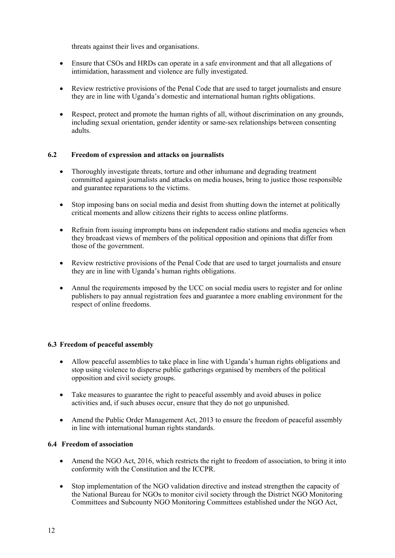threats against their lives and organisations.

- $\bullet$  Ensure that CSOs and HRDs can operate in <sup>a</sup> safe environment and that all allegations of intimidation, harassment and violence are fully investigated.
- $\bullet$  Review restrictive provisions of the Penal Code that are used to target journalists and ensure they are in line with Uganda'<sup>s</sup> domestic and international human rights obligations.
- $\bullet$  Respect, protect and promote the human rights of all, without discrimination on any grounds, including sexual orientation, gender identity or same-sex relationships between consenting adults.

#### **6.2 Freedom of expression and attacks on journalists**

- $\bullet$  Thoroughly investigate threats, torture and other inhumane and degrading treatment committed against journalists and attacks on media houses, bring to justice those responsible and guarantee reparations to the victims.
- $\bullet$  Stop imposing bans on social media and desist from shutting down the internet at politically critical moments and allow citizens their rights to access online platforms.
- $\bullet$  Refrain from issuing impromptu bans on independent radio stations and media agencies when they broadcast views of members of the political opposition and opinions that differ from those of the government.
- $\bullet$  Review restrictive provisions of the Penal Code that are used to target journalists and ensure they are in line with Uganda'<sup>s</sup> human rights obligations.
- c Annul the requirements imposed by the UCC on social media users to register and for online publishers to pay annual registration fees and guarantee <sup>a</sup> more enabling environment for the respec<sup>t</sup> of online freedoms.

#### **6.3 Freedom of peaceful assembly**

- $\bullet$  Allow peaceful assemblies to take place in line with Uganda'<sup>s</sup> human rights obligations and stop using violence to disperse public gatherings organised by members of the political opposition and civil society groups.
- Take measures to guarantee the right to peaceful assembly and avoid abuses in police activities and, if such abuses occur, ensure that they do not go unpunished.
- $\bullet$  Amend the Public Order Management Act, 2013 to ensure the freedom of peaceful assembly in line with international human rights standards.

#### **6.4 Freedom of association**

- $\bullet$  Amend the NGO Act, 2016, which restricts the right to freedom of association, to bring it into conformity with the Constitution and the ICCPR.
- $\bullet$  Stop implementation of the NGO validation directive and instead strengthen the capacity of the National Bureau for NGOs to monitor civil society through the District NGO Monitoring Committees and Subcounty NGO Monitoring Committees established under the NGO Act,